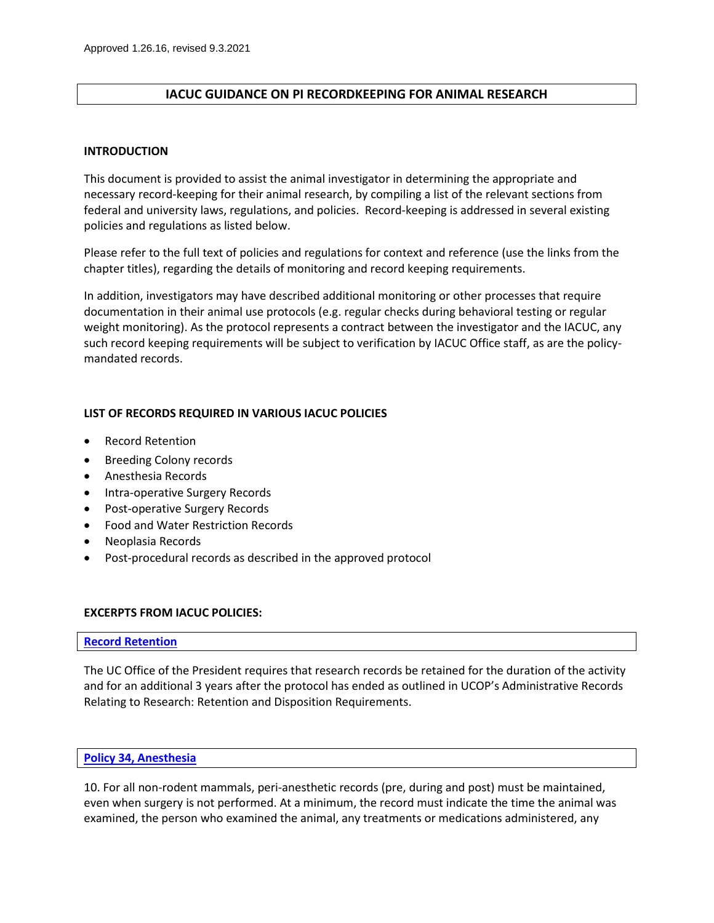## **IACUC GUIDANCE ON PI RECORDKEEPING FOR ANIMAL RESEARCH**

#### **INTRODUCTION**

This document is provided to assist the animal investigator in determining the appropriate and necessary record-keeping for their animal research, by compiling a list of the relevant sections from federal and university laws, regulations, and policies. Record-keeping is addressed in several existing policies and regulations as listed below.

Please refer to the full text of policies and regulations for context and reference (use the links from the chapter titles), regarding the details of monitoring and record keeping requirements.

In addition, investigators may have described additional monitoring or other processes that require documentation in their animal use protocols (e.g. regular checks during behavioral testing or regular weight monitoring). As the protocol represents a contract between the investigator and the IACUC, any such record keeping requirements will be subject to verification by IACUC Office staff, as are the policymandated records.

### **LIST OF RECORDS REQUIRED IN VARIOUS IACUC POLICIES**

- Record Retention
- Breeding Colony records
- Anesthesia Records
- Intra-operative Surgery Records
- Post-operative Surgery Records
- Food and Water Restriction Records
- Neoplasia Records
- Post-procedural records as described in the approved protocol

### **EXCERPTS FROM IACUC POLICIES:**

#### **[Record Retention](https://www.ucop.edu/research-policy-analysis-coordination/policies-guidance/record-retention/tables.html)**

The UC Office of the President requires that research records be retained for the duration of the activity and for an additional 3 years after the protocol has ended as outlined in UCOP's Administrative Records Relating to Research: Retention and Disposition Requirements.

#### **[Policy 34, Anesthesia](https://blink.ucsd.edu/_files/sponsor-tab/iacuc/Policy%2034%20Anesthesia.pdf)**

10. For all non-rodent mammals, peri-anesthetic records (pre, during and post) must be maintained, even when surgery is not performed. At a minimum, the record must indicate the time the animal was examined, the person who examined the animal, any treatments or medications administered, any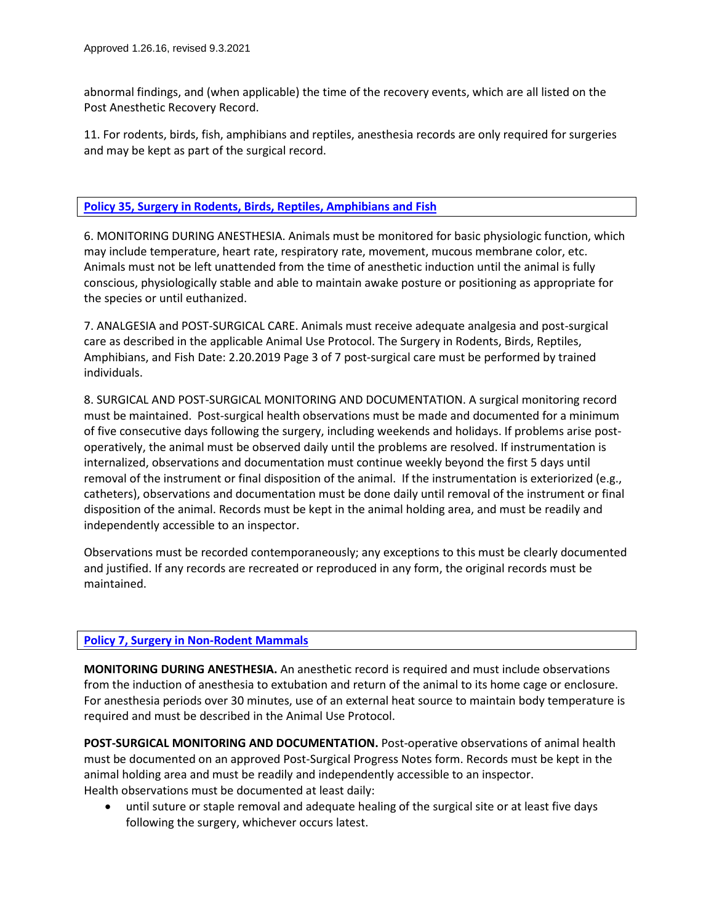abnormal findings, and (when applicable) the time of the recovery events, which are all listed on the Post Anesthetic Recovery Record.

11. For rodents, birds, fish, amphibians and reptiles, anesthesia records are only required for surgeries and may be kept as part of the surgical record.

## **Policy [35, Surgery in Rodents, Birds, Reptiles, Amphibians and Fish](https://blink.ucsd.edu/_files/sponsor-tab/iacuc/Policy%2035%20SA%20Surgery.pdf)**

6. MONITORING DURING ANESTHESIA. Animals must be monitored for basic physiologic function, which may include temperature, heart rate, respiratory rate, movement, mucous membrane color, etc. Animals must not be left unattended from the time of anesthetic induction until the animal is fully conscious, physiologically stable and able to maintain awake posture or positioning as appropriate for the species or until euthanized.

7. ANALGESIA and POST-SURGICAL CARE. Animals must receive adequate analgesia and post-surgical care as described in the applicable Animal Use Protocol. The Surgery in Rodents, Birds, Reptiles, Amphibians, and Fish Date: 2.20.2019 Page 3 of 7 post-surgical care must be performed by trained individuals.

8. SURGICAL AND POST-SURGICAL MONITORING AND DOCUMENTATION. A surgical monitoring record must be maintained. Post-surgical health observations must be made and documented for a minimum of five consecutive days following the surgery, including weekends and holidays. If problems arise postoperatively, the animal must be observed daily until the problems are resolved. If instrumentation is internalized, observations and documentation must continue weekly beyond the first 5 days until removal of the instrument or final disposition of the animal. If the instrumentation is exteriorized (e.g., catheters), observations and documentation must be done daily until removal of the instrument or final disposition of the animal. Records must be kept in the animal holding area, and must be readily and independently accessible to an inspector.

Observations must be recorded contemporaneously; any exceptions to this must be clearly documented and justified. If any records are recreated or reproduced in any form, the original records must be maintained.

# **[Policy 7, Surgery in Non-Rodent Mammals](https://blink.ucsd.edu/_files/sponsor-tab/iacuc/Policy%207%20LA%20Surgery.pdf)**

**MONITORING DURING ANESTHESIA.** An anesthetic record is required and must include observations from the induction of anesthesia to extubation and return of the animal to its home cage or enclosure. For anesthesia periods over 30 minutes, use of an external heat source to maintain body temperature is required and must be described in the Animal Use Protocol.

**POST-SURGICAL MONITORING AND DOCUMENTATION.** Post-operative observations of animal health must be documented on an approved Post-Surgical Progress Notes form. Records must be kept in the animal holding area and must be readily and independently accessible to an inspector. Health observations must be documented at least daily:

• until suture or staple removal and adequate healing of the surgical site or at least five days following the surgery, whichever occurs latest.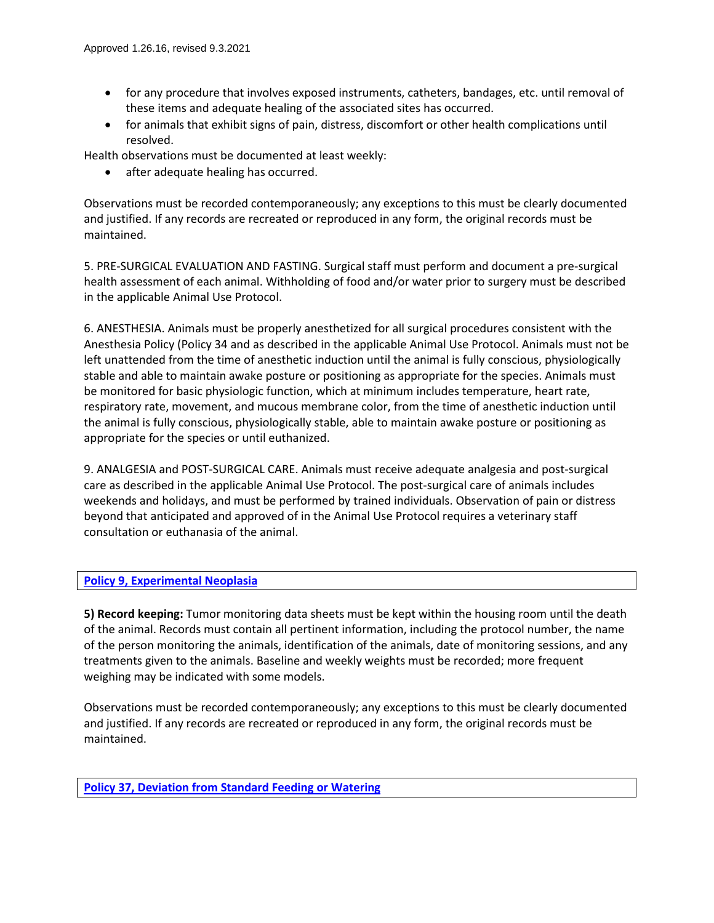- for any procedure that involves exposed instruments, catheters, bandages, etc. until removal of these items and adequate healing of the associated sites has occurred.
- for animals that exhibit signs of pain, distress, discomfort or other health complications until resolved.

Health observations must be documented at least weekly:

• after adequate healing has occurred.

Observations must be recorded contemporaneously; any exceptions to this must be clearly documented and justified. If any records are recreated or reproduced in any form, the original records must be maintained.

5. PRE-SURGICAL EVALUATION AND FASTING. Surgical staff must perform and document a pre-surgical health assessment of each animal. Withholding of food and/or water prior to surgery must be described in the applicable Animal Use Protocol.

6. ANESTHESIA. Animals must be properly anesthetized for all surgical procedures consistent with the Anesthesia Policy (Policy 34 and as described in the applicable Animal Use Protocol. Animals must not be left unattended from the time of anesthetic induction until the animal is fully conscious, physiologically stable and able to maintain awake posture or positioning as appropriate for the species. Animals must be monitored for basic physiologic function, which at minimum includes temperature, heart rate, respiratory rate, movement, and mucous membrane color, from the time of anesthetic induction until the animal is fully conscious, physiologically stable, able to maintain awake posture or positioning as appropriate for the species or until euthanized.

9. ANALGESIA and POST-SURGICAL CARE. Animals must receive adequate analgesia and post-surgical care as described in the applicable Animal Use Protocol. The post-surgical care of animals includes weekends and holidays, and must be performed by trained individuals. Observation of pain or distress beyond that anticipated and approved of in the Animal Use Protocol requires a veterinary staff consultation or euthanasia of the animal.

### **[Policy 9, Experimental Neoplasia](https://blink.ucsd.edu/_files/sponsor-tab/iacuc/Policy%209%20Neoplasia.pdf)**

**5) Record keeping:** Tumor monitoring data sheets must be kept within the housing room until the death of the animal. Records must contain all pertinent information, including the protocol number, the name of the person monitoring the animals, identification of the animals, date of monitoring sessions, and any treatments given to the animals. Baseline and weekly weights must be recorded; more frequent weighing may be indicated with some models.

Observations must be recorded contemporaneously; any exceptions to this must be clearly documented and justified. If any records are recreated or reproduced in any form, the original records must be maintained.

**[Policy 37, Deviation from Standard Feeding or Watering](https://blink.ucsd.edu/_files/sponsor-tab/iacuc/Policy%2037%20Restriction.pdf)**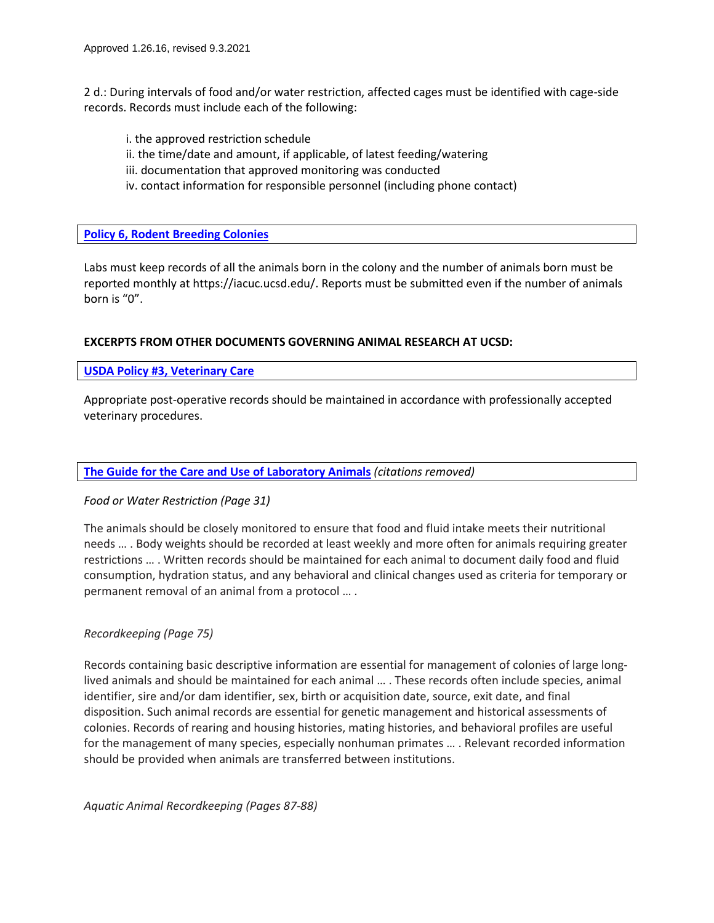2 d.: During intervals of food and/or water restriction, affected cages must be identified with cage-side records. Records must include each of the following:

i. the approved restriction schedule ii. the time/date and amount, if applicable, of latest feeding/watering iii. documentation that approved monitoring was conducted iv. contact information for responsible personnel (including phone contact)

## **[Policy 6, Rodent Breeding Colonies](https://blink.ucsd.edu/_files/sponsor-tab/iacuc/Policy%206%20Breeding.pdf)**

Labs must keep records of all the animals born in the colony and the number of animals born must be reported monthly at https://iacuc.ucsd.edu/. Reports must be submitted even if the number of animals born is "0".

### **EXCERPTS FROM OTHER DOCUMENTS GOVERNING ANIMAL RESEARCH AT UCSD:**

#### **USDA Policy #3, [Veterinary Care](https://www.nal.usda.gov/sites/default/files/Policy3.pdf)**

Appropriate post-operative records should be maintained in accordance with professionally accepted veterinary procedures.

#### **The Guide [for the Care and Use of Laboratory Animals](https://blink.ucsd.edu/_files/sponsor-tab/iacuc/Guide-for-the-care-and-use-of-laboratory-animals.pdf)** *(citations removed)*

#### *Food or Water Restriction (Page 31)*

The animals should be closely monitored to ensure that food and fluid intake meets their nutritional needs … . Body weights should be recorded at least weekly and more often for animals requiring greater restrictions … . Written records should be maintained for each animal to document daily food and fluid consumption, hydration status, and any behavioral and clinical changes used as criteria for temporary or permanent removal of an animal from a protocol … .

### *Recordkeeping (Page 75)*

Records containing basic descriptive information are essential for management of colonies of large longlived animals and should be maintained for each animal … . These records often include species, animal identifier, sire and/or dam identifier, sex, birth or acquisition date, source, exit date, and final disposition. Such animal records are essential for genetic management and historical assessments of colonies. Records of rearing and housing histories, mating histories, and behavioral profiles are useful for the management of many species, especially nonhuman primates … . Relevant recorded information should be provided when animals are transferred between institutions.

*Aquatic Animal Recordkeeping (Pages 87-88)*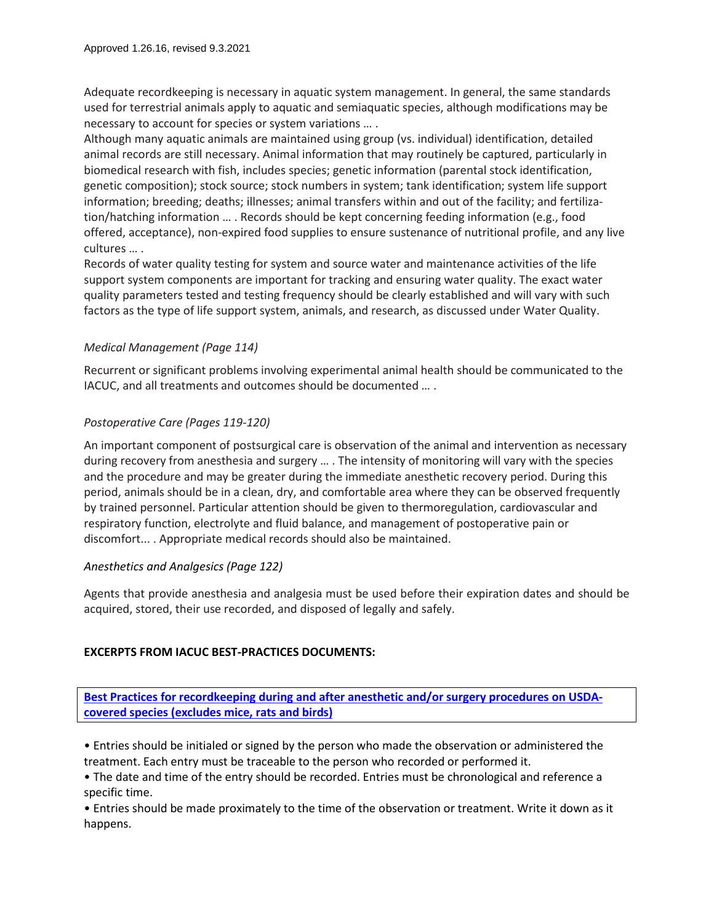Adequate recordkeeping is necessary in aquatic system management. In general, the same standards used for terrestrial animals apply to aquatic and semiaquatic species, although modifications may be necessary to account for species or system variations … .

Although many aquatic animals are maintained using group (vs. individual) identification, detailed animal records are still necessary. Animal information that may routinely be captured, particularly in biomedical research with fish, includes species; genetic information (parental stock identification, genetic composition); stock source; stock numbers in system; tank identification; system life support information; breeding; deaths; illnesses; animal transfers within and out of the facility; and fertilization/hatching information … . Records should be kept concerning feeding information (e.g., food offered, acceptance), non-expired food supplies to ensure sustenance of nutritional profile, and any live cultures … .

Records of water quality testing for system and source water and maintenance activities of the life support system components are important for tracking and ensuring water quality. The exact water quality parameters tested and testing frequency should be clearly established and will vary with such factors as the type of life support system, animals, and research, as discussed under Water Quality.

# *Medical Management (Page 114)*

Recurrent or significant problems involving experimental animal health should be communicated to the IACUC, and all treatments and outcomes should be documented … .

# *Postoperative Care (Pages 119-120)*

An important component of postsurgical care is observation of the animal and intervention as necessary during recovery from anesthesia and surgery … . The intensity of monitoring will vary with the species and the procedure and may be greater during the immediate anesthetic recovery period. During this period, animals should be in a clean, dry, and comfortable area where they can be observed frequently by trained personnel. Particular attention should be given to thermoregulation, cardiovascular and respiratory function, electrolyte and fluid balance, and management of postoperative pain or discomfort... . Appropriate medical records should also be maintained.

# *Anesthetics and Analgesics (Page 122)*

Agents that provide anesthesia and analgesia must be used before their expiration dates and should be acquired, stored, their use recorded, and disposed of legally and safely.

# **EXCERPTS FROM IACUC BEST-PRACTICES DOCUMENTS:**

**[Best Practices for recordkeeping during and after anesthetic and/or surgery procedures on USDA](https://blink.ucsd.edu/_files/sponsor-tab/iacuc/RecordkeepingForCoveredSpecies.pdf)[covered species \(excludes mice, rats and birds\)](https://blink.ucsd.edu/_files/sponsor-tab/iacuc/RecordkeepingForCoveredSpecies.pdf)**

• Entries should be initialed or signed by the person who made the observation or administered the treatment. Each entry must be traceable to the person who recorded or performed it.

• The date and time of the entry should be recorded. Entries must be chronological and reference a specific time.

• Entries should be made proximately to the time of the observation or treatment. Write it down as it happens.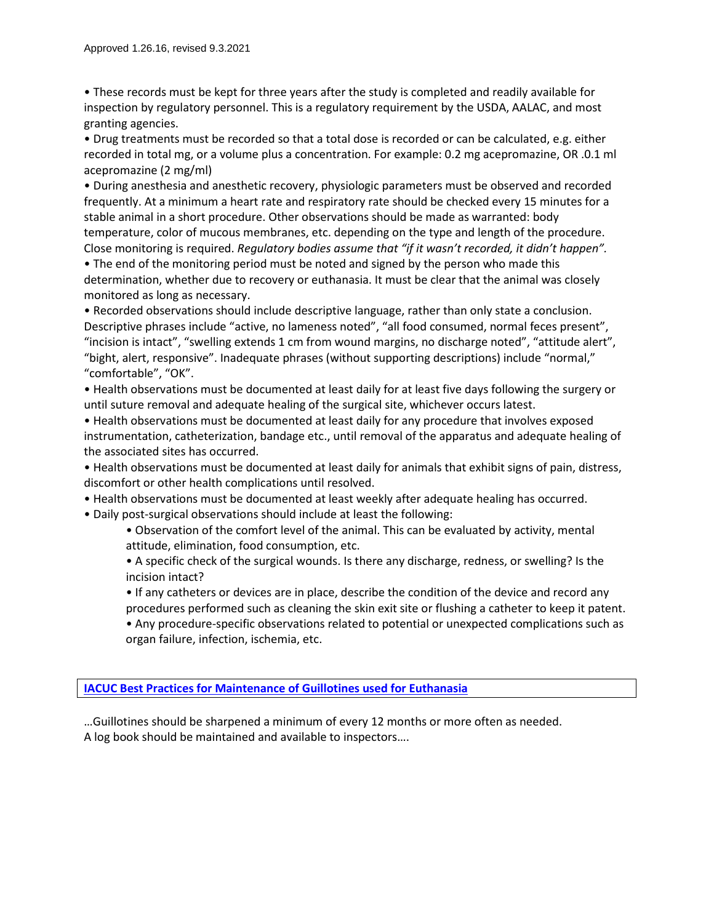• These records must be kept for three years after the study is completed and readily available for inspection by regulatory personnel. This is a regulatory requirement by the USDA, AALAC, and most granting agencies.

• Drug treatments must be recorded so that a total dose is recorded or can be calculated, e.g. either recorded in total mg, or a volume plus a concentration. For example: 0.2 mg acepromazine, OR .0.1 ml acepromazine (2 mg/ml)

• During anesthesia and anesthetic recovery, physiologic parameters must be observed and recorded frequently. At a minimum a heart rate and respiratory rate should be checked every 15 minutes for a stable animal in a short procedure. Other observations should be made as warranted: body temperature, color of mucous membranes, etc. depending on the type and length of the procedure.

Close monitoring is required. *Regulatory bodies assume that "if it wasn't recorded, it didn't happen".* • The end of the monitoring period must be noted and signed by the person who made this determination, whether due to recovery or euthanasia. It must be clear that the animal was closely monitored as long as necessary.

• Recorded observations should include descriptive language, rather than only state a conclusion. Descriptive phrases include "active, no lameness noted", "all food consumed, normal feces present", "incision is intact", "swelling extends 1 cm from wound margins, no discharge noted", "attitude alert", "bight, alert, responsive". Inadequate phrases (without supporting descriptions) include "normal," "comfortable", "OK".

• Health observations must be documented at least daily for at least five days following the surgery or until suture removal and adequate healing of the surgical site, whichever occurs latest.

• Health observations must be documented at least daily for any procedure that involves exposed instrumentation, catheterization, bandage etc., until removal of the apparatus and adequate healing of the associated sites has occurred.

• Health observations must be documented at least daily for animals that exhibit signs of pain, distress, discomfort or other health complications until resolved.

• Health observations must be documented at least weekly after adequate healing has occurred.

• Daily post-surgical observations should include at least the following:

• Observation of the comfort level of the animal. This can be evaluated by activity, mental attitude, elimination, food consumption, etc.

• A specific check of the surgical wounds. Is there any discharge, redness, or swelling? Is the incision intact?

- If any catheters or devices are in place, describe the condition of the device and record any procedures performed such as cleaning the skin exit site or flushing a catheter to keep it patent.
- Any procedure-specific observations related to potential or unexpected complications such as organ failure, infection, ischemia, etc.

**[IACUC Best Practices for Maintenance of Guillotines used for Euthanasia](https://blink.ucsd.edu/_files/sponsor-tab/iacuc/EuthanasiaEquipmentMaintenance.pdf)**

…Guillotines should be sharpened a minimum of every 12 months or more often as needed. A log book should be maintained and available to inspectors….